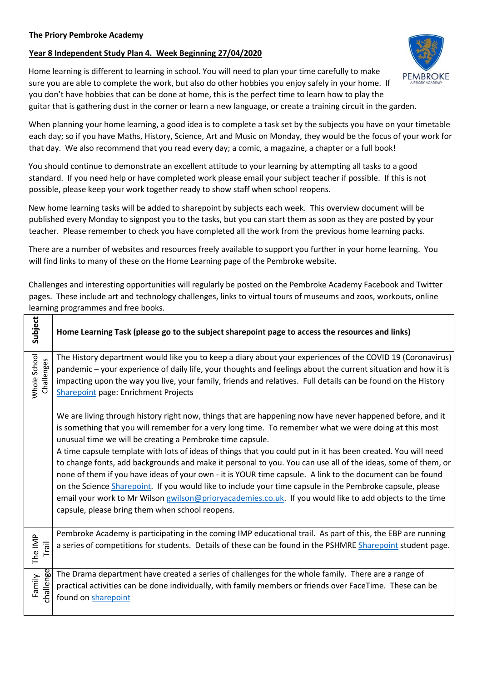## **Year 8 Independent Study Plan 4. Week Beginning 27/04/2020**

Home learning is different to learning in school. You will need to plan your time carefully to make sure you are able to complete the work, but also do other hobbies you enjoy safely in your home. If you don't have hobbies that can be done at home, this is the perfect time to learn how to play the guitar that is gathering dust in the corner or learn a new language, or create a training circuit in the garden.

When planning your home learning, a good idea is to complete a task set by the subjects you have on your timetable each day; so if you have Maths, History, Science, Art and Music on Monday, they would be the focus of your work for that day. We also recommend that you read every day; a comic, a magazine, a chapter or a full book!

You should continue to demonstrate an excellent attitude to your learning by attempting all tasks to a good standard. If you need help or have completed work please email your subject teacher if possible. If this is not possible, please keep your work together ready to show staff when school reopens.

New home learning tasks will be added to sharepoint by subjects each week. This overview document will be published every Monday to signpost you to the tasks, but you can start them as soon as they are posted by your teacher. Please remember to check you have completed all the work from the previous home learning packs.

There are a number of websites and resources freely available to support you further in your home learning. You will find links to many of these on the Home Learning page of the Pembroke website.

Subject **Home Learning Task (please go to the subject sharepoint page to access the resources and links)**  The History department would like you to keep a diary about your experiences of the COVID 19 (Coronavirus) **Mhole School** Challenges pandemic – your experience of daily life, your thoughts and feelings about the current situation and how it is impacting upon the way you live, your family, friends and relatives. Full details can be found on the History [Sharepoint](https://sharepoint.prioryacademies.co.uk/sites/history/pemstudent/_layouts/15/start.aspx?RootFolder=%2Fsites%2Fhistory%2Fpemstudent%2FShared%20Documents%2FEnrichment%20Projects&FolderCTID=0x012000BA4A27D791459E408077BD1BCD4C8C90&View=%7B69EDA8CF%2D93C3%2D4447%2D8694%2D3BD9CAE9230F%7D#/SitePages/Home.aspx) [p](https://sharepoint.prioryacademies.co.uk/sites/history/pemstudent/_layouts/15/start.aspx?RootFolder=%2Fsites%2Fhistory%2Fpemstudent%2FShared%20Documents%2FEnrichment%20Projects&FolderCTID=0x012000BA4A27D791459E408077BD1BCD4C8C90&View=%7B69EDA8CF%2D93C3%2D4447%2D8694%2D3BD9CAE9230F%7D#/SitePages/Home.aspx)age: Enrichment Projects We are living through history right now, things that are happening now have never happened before, and it is something that you will remember for a very long time. To remember what we were doing at this most unusual time we will be creating a Pembroke time capsule. A time capsule template with lots of ideas of things that you could put in it has been created. You will need to change fonts, add backgrounds and make it personal to you. You can use all of the ideas, some of them, or none of them if you have ideas of your own - it is YOUR time capsule. A link to the document can be found on the Scienc[e Sharepoint.](https://sharepoint.prioryacademies.co.uk/sites/science/pemstudent/_layouts/15/WopiFrame.aspx?sourcedoc=/sites/science/pemstudent/Shared%20Documents/Our%20Time%20Capsule.pptx&action=default) If you would like to include your time capsule in the Pembroke capsule, please email your work to Mr Wilson [gwilson@prioryacademies.co.uk.](mailto:gwilson@prioryacademies.co.uk) If you would like to add objects to the time capsule, please bring them when school reopens. Pembroke Academy is participating in the coming IMP educational trail. As part of this, the EBP are running The IMP Trail a series of competitions for students. Details of these can be found in the PSHMRE [Sharepoint](https://sharepoint.prioryacademies.co.uk/sites/re/pemstudent/_layouts/15/start.aspx?RootFolder=%2Fsites%2Fre%2Fpemstudent%2FShared%20Documents%2FThe%20Lincoln%20Imp%20Trail&FolderCTID=0x01200089509F4097954A46A1B7DC9BA7038743&View=%7B1AD2CF21%2DB8A4%2D45BF%2D90CF%2DA5FA009DBC1B%7D#/SitePages/Home.aspx) [s](https://sharepoint.prioryacademies.co.uk/sites/re/pemstudent/_layouts/15/start.aspx?RootFolder=%2Fsites%2Fre%2Fpemstudent%2FShared%20Documents%2FThe%20Lincoln%20Imp%20Trail&FolderCTID=0x01200089509F4097954A46A1B7DC9BA7038743&View=%7B1AD2CF21%2DB8A4%2D45BF%2D90CF%2DA5FA009DBC1B%7D#/SitePages/Home.aspx)tudent page. Family The Drama department have created a series of challenges for the whole family. There are a range of challenge practical activities can be done individually, with family members or friends over FaceTime. These can be found on [sharepoint](https://sharepoint.prioryacademies.co.uk/sites/drama/pemstudent/KS3%20Resources/_layouts/15/start.aspx?RootFolder=%2Fsites%2Fdrama%2Fpemstudent%2FKS3%20Resources%2FShared%20Documents%2FPractical%20activities%20to%20complete%20at%20home&FolderCTID=0x0120005D0B27443034044E9FF17CED90F2D91F&View=%7BAACF8AB9%2D8DF0%2D4321%2D8433%2DE44431A85444%7D#/SitePages/Home.aspx)

Challenges and interesting opportunities will regularly be posted on the Pembroke Academy Facebook and Twitter pages. These include art and technology challenges, links to virtual tours of museums and zoos, workouts, online learning programmes and free books.

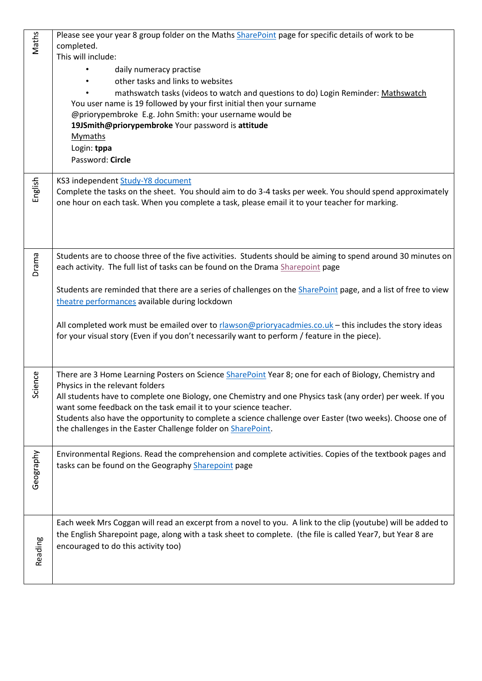| <b>Maths</b> | Please see your year 8 group folder on the Maths SharePoint page for specific details of work to be                                                                                                      |
|--------------|----------------------------------------------------------------------------------------------------------------------------------------------------------------------------------------------------------|
|              | completed.                                                                                                                                                                                               |
|              | This will include:                                                                                                                                                                                       |
|              | daily numeracy practise                                                                                                                                                                                  |
|              | other tasks and links to websites                                                                                                                                                                        |
|              | mathswatch tasks (videos to watch and questions to do) Login Reminder: Mathswatch                                                                                                                        |
|              | You user name is 19 followed by your first initial then your surname                                                                                                                                     |
|              | @priorypembroke E.g. John Smith: your username would be                                                                                                                                                  |
|              | 19JSmith@priorypembroke Your password is attitude                                                                                                                                                        |
|              | Mymaths                                                                                                                                                                                                  |
|              | Login: tppa                                                                                                                                                                                              |
|              | Password: Circle                                                                                                                                                                                         |
|              | KS3 independent Study-Y8 document                                                                                                                                                                        |
| English      | Complete the tasks on the sheet. You should aim to do 3-4 tasks per week. You should spend approximately                                                                                                 |
|              | one hour on each task. When you complete a task, please email it to your teacher for marking.                                                                                                            |
|              |                                                                                                                                                                                                          |
|              |                                                                                                                                                                                                          |
|              |                                                                                                                                                                                                          |
| Drama        | Students are to choose three of the five activities. Students should be aiming to spend around 30 minutes on                                                                                             |
|              | each activity. The full list of tasks can be found on the Drama Sharepoint page                                                                                                                          |
|              |                                                                                                                                                                                                          |
|              | Students are reminded that there are a series of challenges on the <b>SharePoint</b> page, and a list of free to view                                                                                    |
|              | theatre performances available during lockdown                                                                                                                                                           |
|              |                                                                                                                                                                                                          |
|              | All completed work must be emailed over to rlawson@prioryacadmies.co.uk - this includes the story ideas<br>for your visual story (Even if you don't necessarily want to perform / feature in the piece). |
|              |                                                                                                                                                                                                          |
|              |                                                                                                                                                                                                          |
| ence         | There are 3 Home Learning Posters on Science SharePoint Year 8; one for each of Biology, Chemistry and                                                                                                   |
| 5ö           | Physics in the relevant folders                                                                                                                                                                          |
|              | All students have to complete one Biology, one Chemistry and one Physics task (any order) per week. If you<br>want some feedback on the task email it to your science teacher.                           |
|              | Students also have the opportunity to complete a science challenge over Easter (two weeks). Choose one of                                                                                                |
|              | the challenges in the Easter Challenge folder on SharePoint.                                                                                                                                             |
|              |                                                                                                                                                                                                          |
|              | Environmental Regions. Read the comprehension and complete activities. Copies of the textbook pages and                                                                                                  |
|              | tasks can be found on the Geography Sharepoint page                                                                                                                                                      |
| Geography    |                                                                                                                                                                                                          |
|              |                                                                                                                                                                                                          |
|              |                                                                                                                                                                                                          |
|              | Each week Mrs Coggan will read an excerpt from a novel to you. A link to the clip (youtube) will be added to                                                                                             |
|              | the English Sharepoint page, along with a task sheet to complete. (the file is called Year7, but Year 8 are                                                                                              |
|              | encouraged to do this activity too)                                                                                                                                                                      |
| Reading      |                                                                                                                                                                                                          |
|              |                                                                                                                                                                                                          |
|              |                                                                                                                                                                                                          |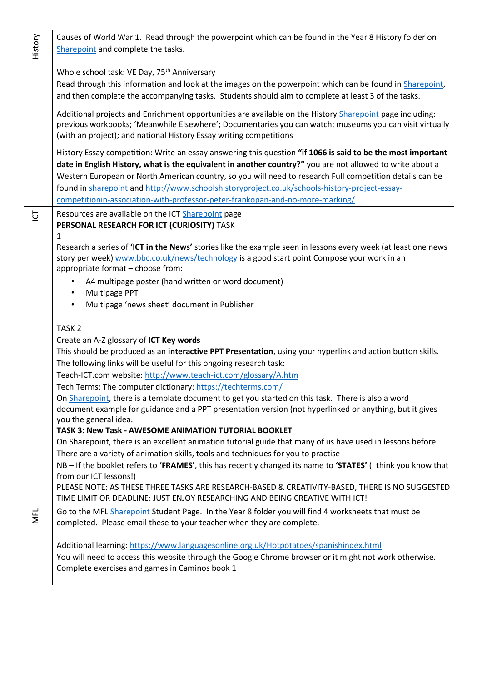| History    | Causes of World War 1. Read through the powerpoint which can be found in the Year 8 History folder on<br>Sharepoint and complete the tasks.                                                                                                                                                                                                                                                                                                                                                                            |
|------------|------------------------------------------------------------------------------------------------------------------------------------------------------------------------------------------------------------------------------------------------------------------------------------------------------------------------------------------------------------------------------------------------------------------------------------------------------------------------------------------------------------------------|
|            | Whole school task: VE Day, 75 <sup>th</sup> Anniversary<br>Read through this information and look at the images on the powerpoint which can be found in Sharepoint,<br>and then complete the accompanying tasks. Students should aim to complete at least 3 of the tasks.                                                                                                                                                                                                                                              |
|            | Additional projects and Enrichment opportunities are available on the History Sharepoint page including:<br>previous workbooks; 'Meanwhile Elsewhere'; Documentaries you can watch; museums you can visit virtually<br>(with an project); and national History Essay writing competitions                                                                                                                                                                                                                              |
|            | History Essay competition: Write an essay answering this question "if 1066 is said to be the most important<br>date in English History, what is the equivalent in another country?" you are not allowed to write about a<br>Western European or North American country, so you will need to research Full competition details can be<br>found in sharepoint and http://www.schoolshistoryproject.co.uk/schools-history-project-essay-<br>competitionin-association-with-professor-peter-frankopan-and-no-more-marking/ |
| 흐          | Resources are available on the ICT Sharepoint page<br>PERSONAL RESEARCH FOR ICT (CURIOSITY) TASK<br>1                                                                                                                                                                                                                                                                                                                                                                                                                  |
|            | Research a series of 'ICT in the News' stories like the example seen in lessons every week (at least one news<br>story per week) www.bbc.co.uk/news/technology is a good start point Compose your work in an<br>appropriate format - choose from:<br>A4 multipage poster (hand written or word document)<br>Multipage PPT<br>$\bullet$<br>Multipage 'news sheet' document in Publisher<br>$\bullet$                                                                                                                    |
|            | TASK <sub>2</sub>                                                                                                                                                                                                                                                                                                                                                                                                                                                                                                      |
|            | Create an A-Z glossary of ICT Key words                                                                                                                                                                                                                                                                                                                                                                                                                                                                                |
|            | This should be produced as an interactive PPT Presentation, using your hyperlink and action button skills.                                                                                                                                                                                                                                                                                                                                                                                                             |
|            | The following links will be useful for this ongoing research task:<br>Teach-ICT.com website: http://www.teach-ict.com/glossary/A.htm                                                                                                                                                                                                                                                                                                                                                                                   |
|            | Tech Terms: The computer dictionary: https://techterms.com/                                                                                                                                                                                                                                                                                                                                                                                                                                                            |
|            | On Sharepoint, there is a template document to get you started on this task. There is also a word<br>document example for guidance and a PPT presentation version (not hyperlinked or anything, but it gives<br>you the general idea.                                                                                                                                                                                                                                                                                  |
|            | TASK 3: New Task - AWESOME ANIMATION TUTORIAL BOOKLET                                                                                                                                                                                                                                                                                                                                                                                                                                                                  |
|            | On Sharepoint, there is an excellent animation tutorial guide that many of us have used in lessons before<br>There are a variety of animation skills, tools and techniques for you to practise                                                                                                                                                                                                                                                                                                                         |
|            | NB - If the booklet refers to 'FRAMES', this has recently changed its name to 'STATES' (I think you know that                                                                                                                                                                                                                                                                                                                                                                                                          |
|            | from our ICT lessons!)                                                                                                                                                                                                                                                                                                                                                                                                                                                                                                 |
|            | PLEASE NOTE: AS THESE THREE TASKS ARE RESEARCH-BASED & CREATIVITY-BASED, THERE IS NO SUGGESTED<br>TIME LIMIT OR DEADLINE: JUST ENJOY RESEARCHING AND BEING CREATIVE WITH ICT!                                                                                                                                                                                                                                                                                                                                          |
| <b>NFL</b> | Go to the MFL Sharepoint Student Page. In the Year 8 folder you will find 4 worksheets that must be<br>completed. Please email these to your teacher when they are complete.                                                                                                                                                                                                                                                                                                                                           |
|            | Additional learning: https://www.languagesonline.org.uk/Hotpotatoes/spanishindex.html<br>You will need to access this website through the Google Chrome browser or it might not work otherwise.<br>Complete exercises and games in Caminos book 1                                                                                                                                                                                                                                                                      |